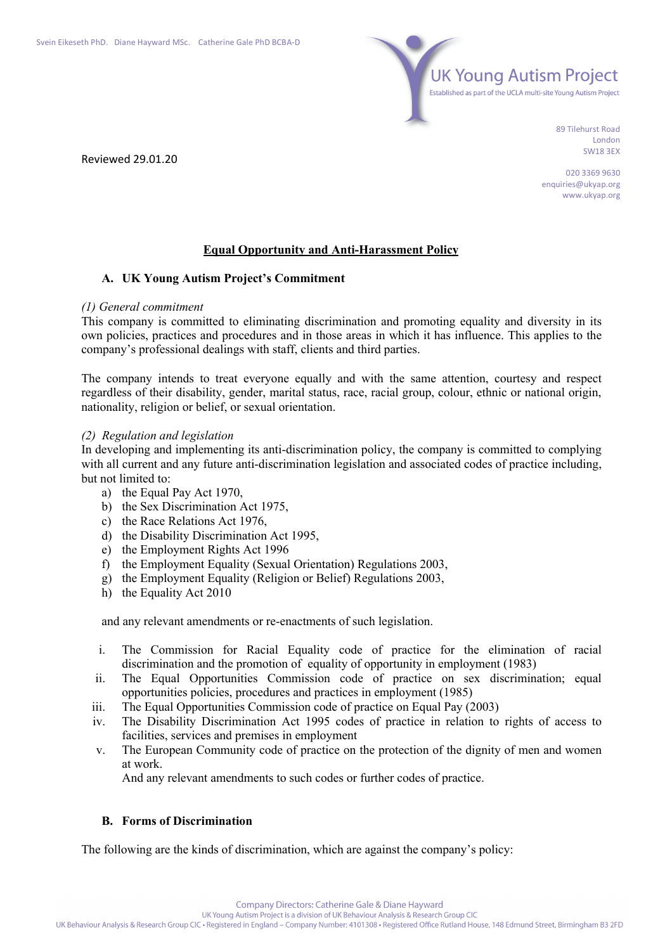Reviewed 29.01.20



89 Tilehurst Road London SW18 3EX

020 3369 9630 enquiries@ukyap.org www.ukyap.org

## **Equal Opportunity and Anti-Harassment Policy**

## **A. UK Young Autism Project's Commitment**

### *(1) General commitment*

This company is committed to eliminating discrimination and promoting equality and diversity in its own policies, practices and procedures and in those areas in which it has influence. This applies to the company's professional dealings with staff, clients and third parties.

The company intends to treat everyone equally and with the same attention, courtesy and respect regardless of their disability, gender, marital status, race, racial group, colour, ethnic or national origin, nationality, religion or belief, or sexual orientation.

## *(2) Regulation and legislation*

In developing and implementing its anti-discrimination policy, the company is committed to complying with all current and any future anti-discrimination legislation and associated codes of practice including, but not limited to:

- a) the Equal Pay Act 1970,
- b) the Sex Discrimination Act 1975,
- c) the Race Relations Act 1976,
- d) the Disability Discrimination Act 1995,
- e) the Employment Rights Act 1996
- f) the Employment Equality (Sexual Orientation) Regulations 2003,
- g) the Employment Equality (Religion or Belief) Regulations 2003,
- h) the Equality Act 2010

and any relevant amendments or re-enactments of such legislation.

- i. The Commission for Racial Equality code of practice for the elimination of racial discrimination and the promotion of equality of opportunity in employment (1983)
- ii. The Equal Opportunities Commission code of practice on sex discrimination; equal opportunities policies, procedures and practices in employment (1985)
- iii. The Equal Opportunities Commission code of practice on Equal Pay (2003)
- iv. The Disability Discrimination Act 1995 codes of practice in relation to rights of access to facilities, services and premises in employment
- v. The European Community code of practice on the protection of the dignity of men and women at work.

And any relevant amendments to such codes or further codes of practice.

## **B. Forms of Discrimination**

The following are the kinds of discrimination, which are against the company's policy: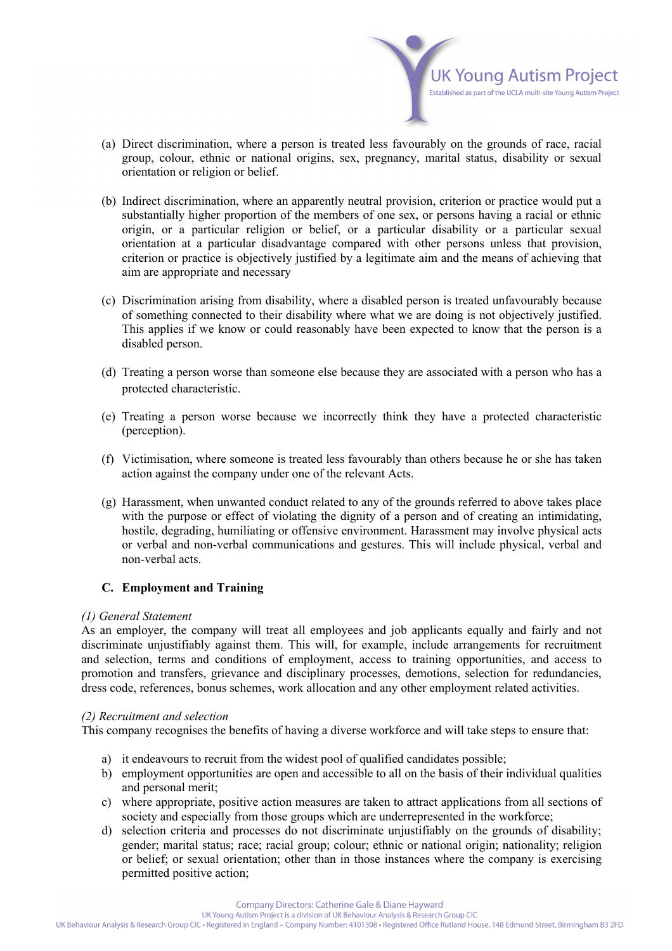

- (a) Direct discrimination, where a person is treated less favourably on the grounds of race, racial group, colour, ethnic or national origins, sex, pregnancy, marital status, disability or sexual orientation or religion or belief.
- (b) Indirect discrimination, where an apparently neutral provision, criterion or practice would put a substantially higher proportion of the members of one sex, or persons having a racial or ethnic origin, or a particular religion or belief, or a particular disability or a particular sexual orientation at a particular disadvantage compared with other persons unless that provision, criterion or practice is objectively justified by a legitimate aim and the means of achieving that aim are appropriate and necessary
- (c) Discrimination arising from disability, where a disabled person is treated unfavourably because of something connected to their disability where what we are doing is not objectively justified. This applies if we know or could reasonably have been expected to know that the person is a disabled person.
- (d) Treating a person worse than someone else because they are associated with a person who has a protected characteristic.
- (e) Treating a person worse because we incorrectly think they have a protected characteristic (perception).
- (f) Victimisation, where someone is treated less favourably than others because he or she has taken action against the company under one of the relevant Acts.
- (g) Harassment, when unwanted conduct related to any of the grounds referred to above takes place with the purpose or effect of violating the dignity of a person and of creating an intimidating, hostile, degrading, humiliating or offensive environment. Harassment may involve physical acts or verbal and non-verbal communications and gestures. This will include physical, verbal and non-verbal acts.

# **C. Employment and Training**

## *(1) General Statement*

As an employer, the company will treat all employees and job applicants equally and fairly and not discriminate unjustifiably against them. This will, for example, include arrangements for recruitment and selection, terms and conditions of employment, access to training opportunities, and access to promotion and transfers, grievance and disciplinary processes, demotions, selection for redundancies, dress code, references, bonus schemes, work allocation and any other employment related activities.

# *(2) Recruitment and selection*

This company recognises the benefits of having a diverse workforce and will take steps to ensure that:

- a) it endeavours to recruit from the widest pool of qualified candidates possible;
- b) employment opportunities are open and accessible to all on the basis of their individual qualities and personal merit;
- c) where appropriate, positive action measures are taken to attract applications from all sections of society and especially from those groups which are underrepresented in the workforce;
- d) selection criteria and processes do not discriminate unjustifiably on the grounds of disability; gender; marital status; race; racial group; colour; ethnic or national origin; nationality; religion or belief; or sexual orientation; other than in those instances where the company is exercising permitted positive action;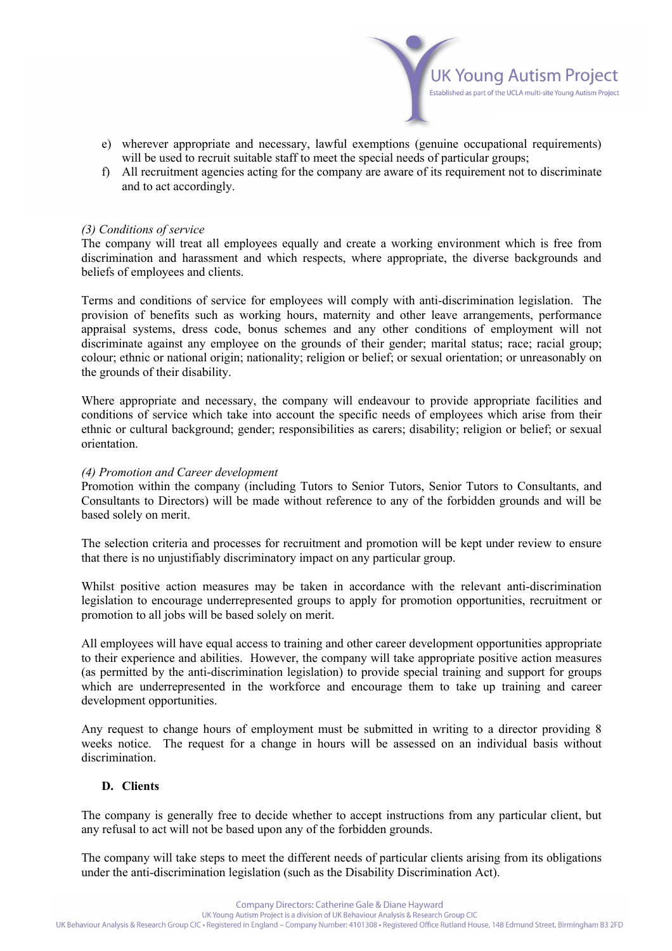

- e) wherever appropriate and necessary, lawful exemptions (genuine occupational requirements) will be used to recruit suitable staff to meet the special needs of particular groups;
- f) All recruitment agencies acting for the company are aware of its requirement not to discriminate and to act accordingly.

### *(3) Conditions of service*

The company will treat all employees equally and create a working environment which is free from discrimination and harassment and which respects, where appropriate, the diverse backgrounds and beliefs of employees and clients.

Terms and conditions of service for employees will comply with anti-discrimination legislation. The provision of benefits such as working hours, maternity and other leave arrangements, performance appraisal systems, dress code, bonus schemes and any other conditions of employment will not discriminate against any employee on the grounds of their gender; marital status; race; racial group; colour; ethnic or national origin; nationality; religion or belief; or sexual orientation; or unreasonably on the grounds of their disability.

Where appropriate and necessary, the company will endeavour to provide appropriate facilities and conditions of service which take into account the specific needs of employees which arise from their ethnic or cultural background; gender; responsibilities as carers; disability; religion or belief; or sexual orientation.

#### *(4) Promotion and Career development*

Promotion within the company (including Tutors to Senior Tutors, Senior Tutors to Consultants, and Consultants to Directors) will be made without reference to any of the forbidden grounds and will be based solely on merit.

The selection criteria and processes for recruitment and promotion will be kept under review to ensure that there is no unjustifiably discriminatory impact on any particular group.

Whilst positive action measures may be taken in accordance with the relevant anti-discrimination legislation to encourage underrepresented groups to apply for promotion opportunities, recruitment or promotion to all jobs will be based solely on merit.

All employees will have equal access to training and other career development opportunities appropriate to their experience and abilities. However, the company will take appropriate positive action measures (as permitted by the anti-discrimination legislation) to provide special training and support for groups which are underrepresented in the workforce and encourage them to take up training and career development opportunities.

Any request to change hours of employment must be submitted in writing to a director providing 8 weeks notice. The request for a change in hours will be assessed on an individual basis without discrimination.

## **D. Clients**

The company is generally free to decide whether to accept instructions from any particular client, but any refusal to act will not be based upon any of the forbidden grounds.

The company will take steps to meet the different needs of particular clients arising from its obligations under the anti-discrimination legislation (such as the Disability Discrimination Act).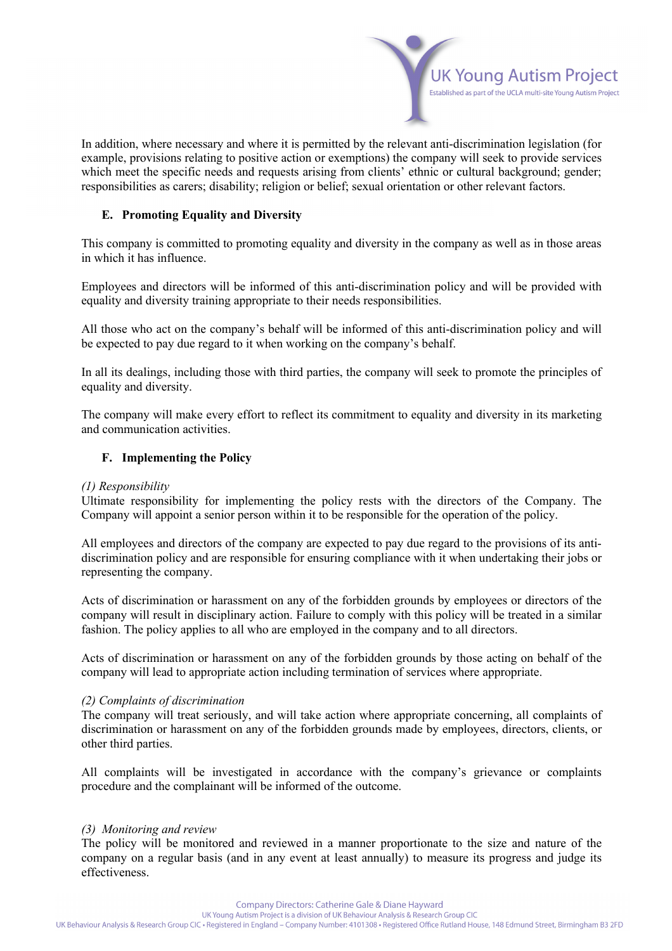

In addition, where necessary and where it is permitted by the relevant anti-discrimination legislation (for example, provisions relating to positive action or exemptions) the company will seek to provide services which meet the specific needs and requests arising from clients' ethnic or cultural background; gender; responsibilities as carers; disability; religion or belief; sexual orientation or other relevant factors.

## **E. Promoting Equality and Diversity**

This company is committed to promoting equality and diversity in the company as well as in those areas in which it has influence.

Employees and directors will be informed of this anti-discrimination policy and will be provided with equality and diversity training appropriate to their needs responsibilities.

All those who act on the company's behalf will be informed of this anti-discrimination policy and will be expected to pay due regard to it when working on the company's behalf.

In all its dealings, including those with third parties, the company will seek to promote the principles of equality and diversity.

The company will make every effort to reflect its commitment to equality and diversity in its marketing and communication activities.

## **F. Implementing the Policy**

## *(1) Responsibility*

Ultimate responsibility for implementing the policy rests with the directors of the Company. The Company will appoint a senior person within it to be responsible for the operation of the policy.

All employees and directors of the company are expected to pay due regard to the provisions of its antidiscrimination policy and are responsible for ensuring compliance with it when undertaking their jobs or representing the company.

Acts of discrimination or harassment on any of the forbidden grounds by employees or directors of the company will result in disciplinary action. Failure to comply with this policy will be treated in a similar fashion. The policy applies to all who are employed in the company and to all directors.

Acts of discrimination or harassment on any of the forbidden grounds by those acting on behalf of the company will lead to appropriate action including termination of services where appropriate.

## *(2) Complaints of discrimination*

The company will treat seriously, and will take action where appropriate concerning, all complaints of discrimination or harassment on any of the forbidden grounds made by employees, directors, clients, or other third parties.

All complaints will be investigated in accordance with the company's grievance or complaints procedure and the complainant will be informed of the outcome.

#### *(3) Monitoring and review*

The policy will be monitored and reviewed in a manner proportionate to the size and nature of the company on a regular basis (and in any event at least annually) to measure its progress and judge its effectiveness.